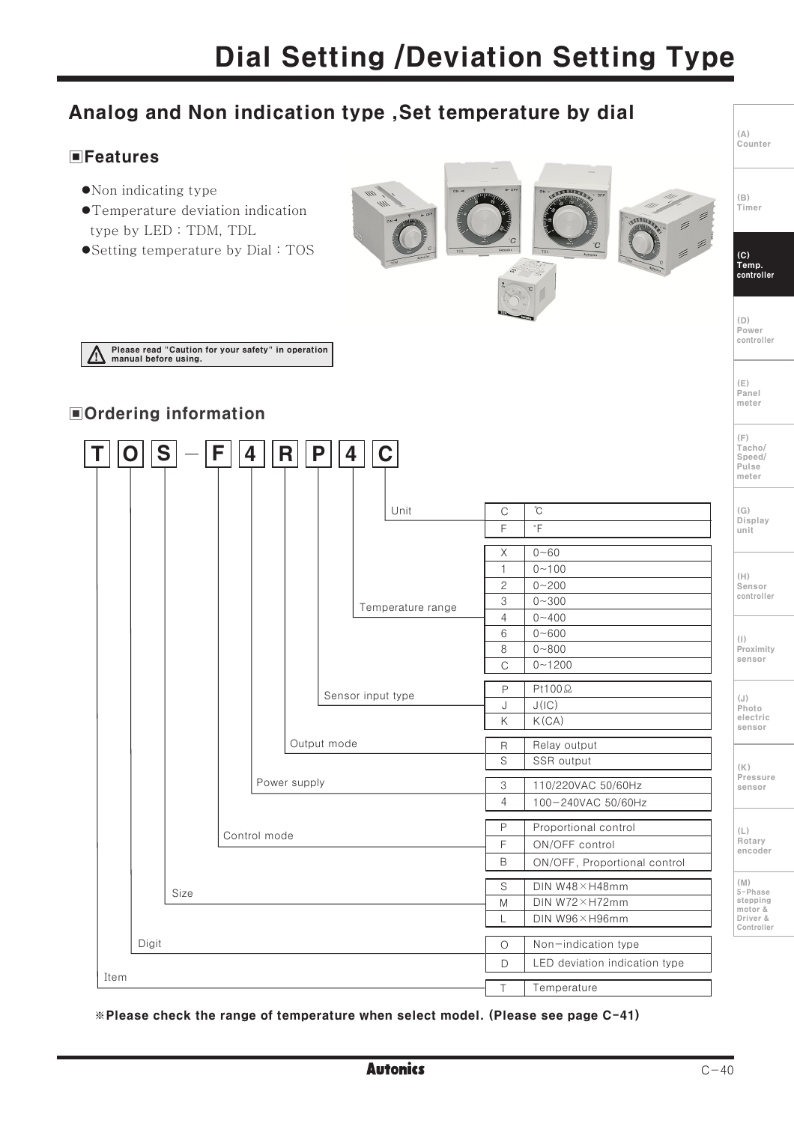## Analog and Non indication type, Set temperature by dial

### **EFeatures**

- $\bullet$ Non indicating type
- ●Temperature deviation indication type by LED: TDM, TDL
- Setting temperature by Dial: TOS



\*Please check the range of temperature when select model. (Please see page C-41)

Temperature

 $\overline{1}$ 

 $(\triangle)$ Counter

 $(\mathbb{B})$ 

Timer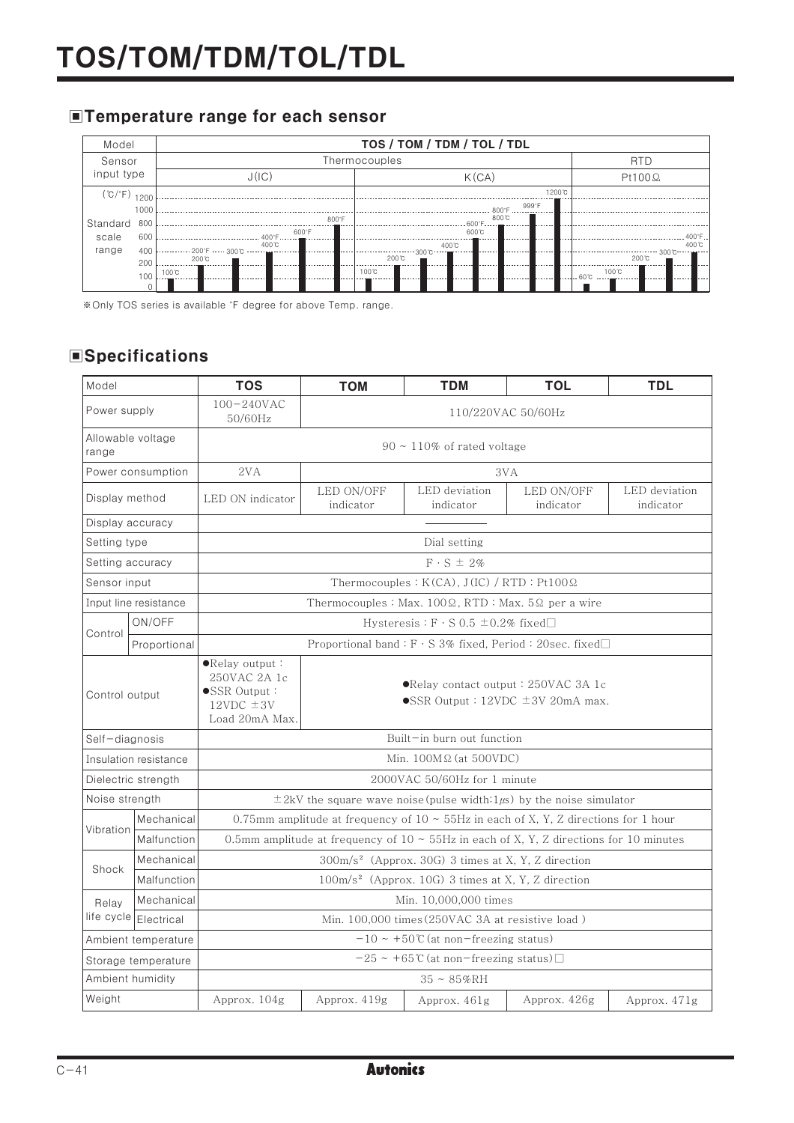### **■Temperature range for each sensor**



\*Only TOS series is available °F degree for above Temp. range.

### **Specifications**

| Model                      |              | <b>TOS</b>                                                                                   | <b>TOM</b>                                                                                       | <b>TDM</b>                 | <b>TOL</b>              | <b>TDL</b>                 |  |
|----------------------------|--------------|----------------------------------------------------------------------------------------------|--------------------------------------------------------------------------------------------------|----------------------------|-------------------------|----------------------------|--|
| Power supply               |              | $100 - 240$ VAC<br>50/60Hz                                                                   | 110/220VAC 50/60Hz                                                                               |                            |                         |                            |  |
| Allowable voltage<br>range |              | $90 \sim 110\%$ of rated voltage                                                             |                                                                                                  |                            |                         |                            |  |
| Power consumption          |              | 2VA                                                                                          | 3VA                                                                                              |                            |                         |                            |  |
| Display method             |              | LED ON indicator                                                                             | LED ON/OFF<br>indicator                                                                          | LED deviation<br>indicator | LED ON/OFF<br>indicator | LED deviation<br>indicator |  |
| Display accuracy           |              |                                                                                              |                                                                                                  |                            |                         |                            |  |
| Setting type               |              | Dial setting                                                                                 |                                                                                                  |                            |                         |                            |  |
| Setting accuracy           |              | $F S \pm 2\%$                                                                                |                                                                                                  |                            |                         |                            |  |
| Sensor input               |              | Thermocouples: $K(CA)$ , $J(IC)$ / RTD: $Pt100\Omega$                                        |                                                                                                  |                            |                         |                            |  |
| Input line resistance      |              | Thermocouples: Max. $100\Omega$ , RTD: Max. $5\Omega$ per a wire                             |                                                                                                  |                            |                         |                            |  |
| Control                    | ON/OFF       | Hysteresis : $F \cdot S$ 0.5 $\pm$ 0.2% fixed $\Box$                                         |                                                                                                  |                            |                         |                            |  |
|                            | Proportional | Proportional band: $F \cdot S$ 3% fixed, Period: 20sec. fixed $\Box$                         |                                                                                                  |                            |                         |                            |  |
| Control output             |              | $\bullet$ Relay output:<br>250VAC 2A 1c<br>SSR Output:<br>$12VDC \pm 3V$<br>Load 20mA Max.   | $\bullet$ Relay contact output : 250VAC 3A 1c<br>$\bullet$ SSR Output : 12VDC $\pm$ 3V 20mA max. |                            |                         |                            |  |
| Self-diagnosis             |              | Built-in burn out function                                                                   |                                                                                                  |                            |                         |                            |  |
| Insulation resistance      |              | Min. $100M\Omega$ (at 500VDC)                                                                |                                                                                                  |                            |                         |                            |  |
| Dielectric strength        |              | 2000VAC 50/60Hz for 1 minute                                                                 |                                                                                                  |                            |                         |                            |  |
| Noise strength             |              | $\pm 2kV$ the square wave noise (pulse width: $1\mu s$ ) by the noise simulator              |                                                                                                  |                            |                         |                            |  |
|                            | Mechanical   | 0.75mm amplitude at frequency of $10 \sim 55$ Hz in each of X, Y, Z directions for 1 hour    |                                                                                                  |                            |                         |                            |  |
| Vibration                  | Malfunction  | 0.5mm amplitude at frequency of $10 \sim 55$ Hz in each of X, Y, Z directions for 10 minutes |                                                                                                  |                            |                         |                            |  |
| Shock                      | Mechanical   | 300m/s <sup>2</sup> (Approx. 30G) 3 times at X, Y, Z direction                               |                                                                                                  |                            |                         |                            |  |
|                            | Malfunction  | 100m/s <sup>2</sup> (Approx. 10G) 3 times at X, Y, Z direction                               |                                                                                                  |                            |                         |                            |  |
| Relay                      | Mechanical   | Min. 10,000,000 times                                                                        |                                                                                                  |                            |                         |                            |  |
| life cycle                 | Electrical   | Min. 100,000 times (250VAC 3A at resistive load)                                             |                                                                                                  |                            |                         |                            |  |
| Ambient temperature        |              | $-10 \sim +50$ °C (at non-freezing status)                                                   |                                                                                                  |                            |                         |                            |  |
| Storage temperature        |              | $-25 \sim +65$ °C (at non-freezing status) $\Box$                                            |                                                                                                  |                            |                         |                            |  |
| Ambient humidity           |              | $35 \sim 85\% RH$                                                                            |                                                                                                  |                            |                         |                            |  |
| Weight                     |              | Approx. 104g                                                                                 | Approx. 419g                                                                                     | Approx. 461g               | Approx. 426g            | Approx. 471g               |  |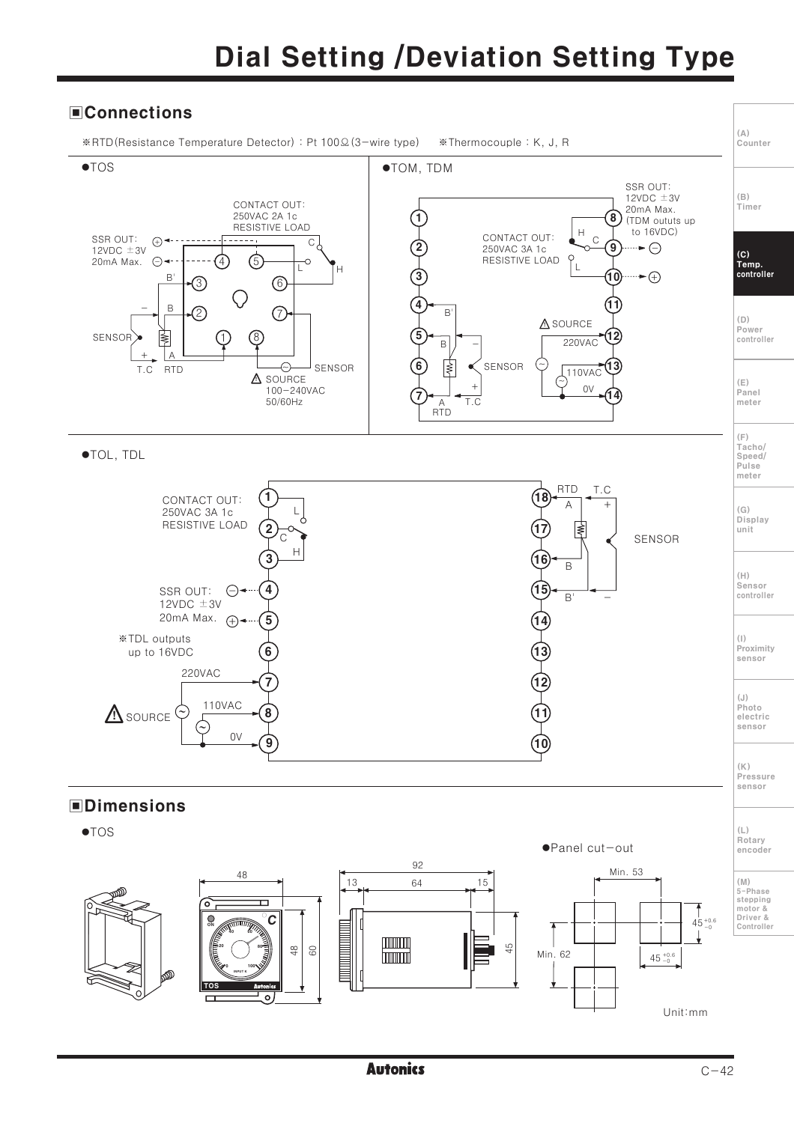## **Dial Setting /Deviation Setting Type**